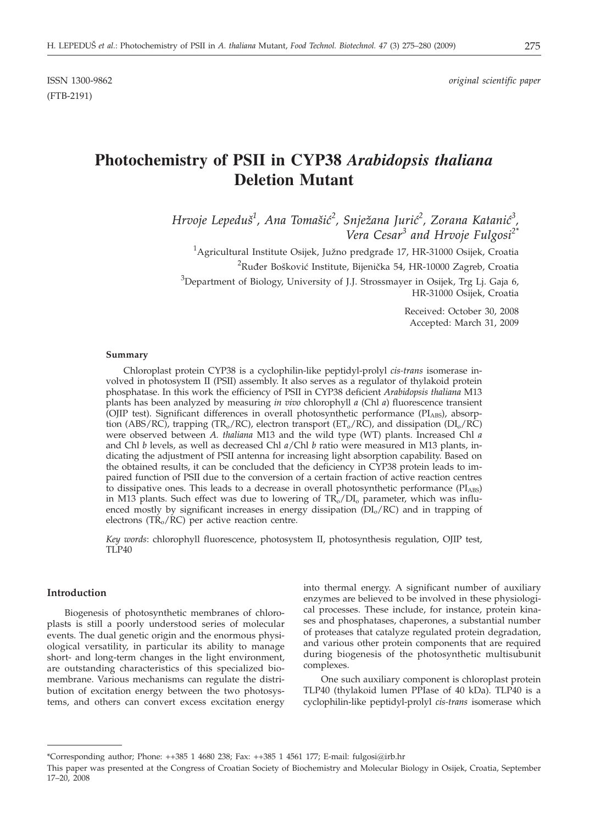ISSN 1300-9862 *original scientific paper*

# **Photochemistry of PSII in CYP38** *Arabidopsis thaliana* **Deletion Mutant**

*Hrvoje Lepedu{<sup>1</sup> , Ana Toma{i}<sup>2</sup> , Snje`ana Juri}<sup>2</sup> , Zorana Katani}<sup>3</sup> , Vera Cesar<sup>3</sup> and Hrvoje Fulgosi2\**

 $^{1}$ Agricultural Institute Osijek, Južno predgrađe 17, HR-31000 Osijek, Croatia  $^{2}$ Ruđer Bošković Institute, Bijenička 54, HR-10000 Zagreb, Croatia  $^3$ Department of Biology, University of J.J. Strossmayer in Osijek, Trg Lj. Gaja 6, HR-31000 Osijek, Croatia

> Received: October 30, 2008 Accepted: March 31, 2009

#### **Summary**

Chloroplast protein CYP38 is a cyclophilin-like peptidyl-prolyl *cis-trans* isomerase involved in photosystem II (PSII) assembly. It also serves as a regulator of thylakoid protein phosphatase. In this work the efficiency of PSII in CYP38 deficient *Arabidopsis thaliana* M13 plants has been analyzed by measuring *in vivo* chlorophyll *a* (Chl *a*) fluorescence transient (OJIP test). Significant differences in overall photosynthetic performance (PI<sub>ABS</sub>), absorption (ABS/RC), trapping (TR<sub>o</sub>/RC), electron transport (ET<sub>o</sub>/RC), and dissipation (DI<sub>o</sub>/RC) were observed between *A. thaliana* M13 and the wild type (WT) plants. Increased Chl *a* and Chl *b* levels, as well as decreased Chl *a*/Chl *b* ratio were measured in M13 plants, indicating the adjustment of PSII antenna for increasing light absorption capability. Based on the obtained results, it can be concluded that the deficiency in CYP38 protein leads to impaired function of PSII due to the conversion of a certain fraction of active reaction centres to dissipative ones. This leads to a decrease in overall photosynthetic performance  $(PI_{ABS})$ in M13 plants. Such effect was due to lowering of  $TR_0/DI_0$  parameter, which was influenced mostly by significant increases in energy dissipation  $(D<sub>I</sub>/RC)$  and in trapping of electrons ( $TR<sub>o</sub>/RC$ ) per active reaction centre.

*Key words*: chlorophyll fluorescence, photosystem II, photosynthesis regulation, OJIP test, TLP40

#### **Introduction**

Biogenesis of photosynthetic membranes of chloroplasts is still a poorly understood series of molecular events. The dual genetic origin and the enormous physiological versatility, in particular its ability to manage short- and long-term changes in the light environment, are outstanding characteristics of this specialized biomembrane. Various mechanisms can regulate the distribution of excitation energy between the two photosystems, and others can convert excess excitation energy into thermal energy. A significant number of auxiliary enzymes are believed to be involved in these physiological processes. These include, for instance, protein kinases and phosphatases, chaperones, a substantial number of proteases that catalyze regulated protein degradation, and various other protein components that are required during biogenesis of the photosynthetic multisubunit complexes.

One such auxiliary component is chloroplast protein TLP40 (thylakoid lumen PPIase of 40 kDa). TLP40 is a cyclophilin-like peptidyl-prolyl *cis-trans* isomerase which

<sup>\*</sup>Corresponding author; Phone: ++385 1 4680 238; Fax: ++385 1 4561 177; E-mail: fulgosi@irb.hr

This paper was presented at the Congress of Croatian Society of Biochemistry and Molecular Biology in Osijek, Croatia, September 17–20, 2008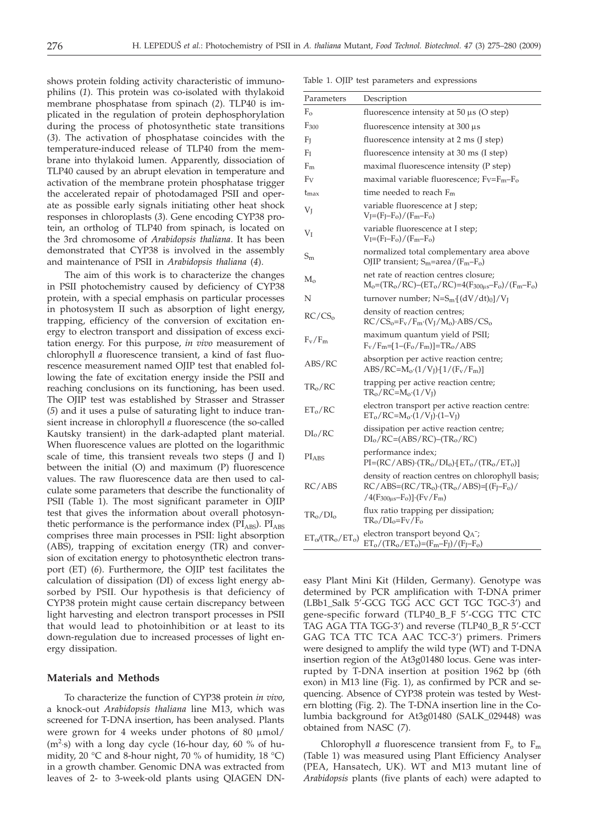shows protein folding activity characteristic of immunophilins (*1*). This protein was co-isolated with thylakoid membrane phosphatase from spinach (*2*). TLP40 is implicated in the regulation of protein dephosphorylation during the process of photosynthetic state transitions (*3*). The activation of phosphatase coincides with the temperature-induced release of TLP40 from the membrane into thylakoid lumen. Apparently, dissociation of TLP40 caused by an abrupt elevation in temperature and activation of the membrane protein phosphatase trigger the accelerated repair of photodamaged PSII and operate as possible early signals initiating other heat shock responses in chloroplasts (*3*). Gene encoding CYP38 protein, an ortholog of TLP40 from spinach, is located on the 3rd chromosome of *Arabidopsis thaliana*. It has been demonstrated that CYP38 is involved in the assembly and maintenance of PSII in *Arabidopsis thaliana* (*4*).

The aim of this work is to characterize the changes in PSII photochemistry caused by deficiency of CYP38 protein, with a special emphasis on particular processes in photosystem II such as absorption of light energy, trapping, efficiency of the conversion of excitation energy to electron transport and dissipation of excess excitation energy. For this purpose, *in vivo* measurement of chlorophyll *a* fluorescence transient, a kind of fast fluorescence measurement named OJIP test that enabled following the fate of excitation energy inside the PSII and reaching conclusions on its functioning, has been used. The OJIP test was established by Strasser and Strasser (*5*) and it uses a pulse of saturating light to induce transient increase in chlorophyll *a* fluorescence (the so-called Kautsky transient) in the dark-adapted plant material. When fluorescence values are plotted on the logarithmic scale of time, this transient reveals two steps (J and I) between the initial (O) and maximum (P) fluorescence values. The raw fluorescence data are then used to calculate some parameters that describe the functionality of PSII (Table 1). The most significant parameter in OJIP test that gives the information about overall photosynthetic performance is the performance index ( $PI<sub>ABS</sub>$ ).  $PI<sub>ABS</sub>$ comprises three main processes in PSII: light absorption (ABS), trapping of excitation energy (TR) and conversion of excitation energy to photosynthetic electron transport (ET) (*6*). Furthermore, the OJIP test facilitates the calculation of dissipation (DI) of excess light energy absorbed by PSII. Our hypothesis is that deficiency of CYP38 protein might cause certain discrepancy between light harvesting and electron transport processes in PSII that would lead to photoinhibition or at least to its down-regulation due to increased processes of light energy dissipation.

## **Materials and Methods**

To characterize the function of CYP38 protein *in vivo*, a knock-out *Arabidopsis thaliana* line M13, which was screened for T-DNA insertion, has been analysed. Plants were grown for 4 weeks under photons of 80  $\mu$ mol/  $(m<sup>2</sup>·s)$  with a long day cycle (16-hour day, 60 % of humidity, 20 °C and 8-hour night, 70 % of humidity, 18 °C) in a growth chamber. Genomic DNA was extracted from leaves of 2- to 3-week-old plants using QIAGEN DN-

| Table 1. OJIP test parameters and expressions |  |  |
|-----------------------------------------------|--|--|
|-----------------------------------------------|--|--|

| Parameters             | Description                                                                                                                              |
|------------------------|------------------------------------------------------------------------------------------------------------------------------------------|
| $F_{\rm o}$            | fluorescence intensity at $50 \mu s$ (O step)                                                                                            |
| $F_{300}$              | fluorescence intensity at $300 \mu s$                                                                                                    |
| Fj                     | fluorescence intensity at 2 ms (J step)                                                                                                  |
| F <sub>I</sub>         | fluorescence intensity at 30 ms (I step)                                                                                                 |
| $F_m$                  | maximal fluorescence intensity (P step)                                                                                                  |
| $F_V$                  | maximal variable fluorescence; $F_V = F_m - F_o$                                                                                         |
| $t_{\rm max}$          | time needed to reach $F_m$                                                                                                               |
| Vī                     | variable fluorescence at J step;<br>$V_J = (F_J - F_o)/(F_m - F_o)$                                                                      |
| $V_I$                  | variable fluorescence at I step;<br>$V_I = (F_I - F_o)/(F_m - F_o)$                                                                      |
| $S_{\rm m}$            | normalized total complementary area above<br>OJIP transient; $S_m$ =area/( $F_m$ – $F_o$ )                                               |
| $M_{o}$                | net rate of reaction centres closure;<br>$M_o = (TR_o/RC) - (ET_o/RC) = 4(F_{300\mu s} - F_o)/(F_m - F_o)$                               |
| N                      | turnover number; $N=S_m$ [(dV/dt) <sub>0</sub> ]/V <sub>I</sub>                                                                          |
| RC/CS <sub>o</sub>     | density of reaction centres;<br>$RC/CS_0 = F_V/F_m (V_I/M_o)$ . ABS/CS <sub>o</sub>                                                      |
| $F_v/F_m$              | maximum quantum yield of PSII;<br>$F_{V}/F_{m}=[1-(F_{0}/F_{m})]=TR_{0}/ABS$                                                             |
| ABS/RC                 | absorption per active reaction centre;<br>$\rm{ABS/RC=M_{o}(1/V_{J})}[1/(F_{v}/F_{m})]$                                                  |
| $TR_0/RC$              | trapping per active reaction centre;<br>$TR_0/RC=M_0(1/V_I)$                                                                             |
| $ET_0/RC$              | electron transport per active reaction centre:<br>$ET_0/RC=M_0(1/V_J)(1-V_J)$                                                            |
| $DI_{o}/RC$            | dissipation per active reaction centre;<br>$DIo/RC=(ABS/RC)-(TRo/RC)$                                                                    |
| <b>PIABS</b>           | performance index;<br>$PI=(RC/ABS)\cdot (TRo/DIo)\cdot [ETo/(TRo/ETo)]$                                                                  |
| RC/ABS                 | density of reaction centres on chlorophyll basis;<br>$RC/ABS=(RC/TRo)(TRo/ABS)=[(FJ-Fo)/$<br>/4( $F_{300\mu s}$ - $F_o$ )]·( $F_V/F_m$ ) |
| $TR_0/DI_0$            | flux ratio trapping per dissipation;<br>$TR_0/DI_0 = F_V/F_0$                                                                            |
| $ET_0 / (TR_0 / ET_0)$ | electron transport beyond $Q_A^-$ ;<br>$ET_o/(TR_o/ET_o)=(F_m-F_J)/(F_J-F_o)$                                                            |

easy Plant Mini Kit (Hilden, Germany). Genotype was determined by PCR amplification with T-DNA primer (LBb1\_Salk 5'-GCG TGG ACC GCT TGC TGC-3') and gene-specific forward (TLP40\_B\_F 5'-CGG TTC CTC TAG AGA TTA TGG-3') and reverse (TLP40\_B\_R 5'-CCT GAG TCA TTC TCA AAC TCC-3') primers. Primers were designed to amplify the wild type (WT) and T-DNA insertion region of the At3g01480 locus. Gene was interrupted by T-DNA insertion at position 1962 bp (6th exon) in M13 line (Fig. 1), as confirmed by PCR and sequencing. Absence of CYP38 protein was tested by Western blotting (Fig. 2). The T-DNA insertion line in the Columbia background for At3g01480 (SALK\_029448) was obtained from NASC (*7*).

Chlorophyll *a* fluorescence transient from  $F_0$  to  $F_m$ (Table 1) was measured using Plant Efficiency Analyser (PEA, Hansatech, UK). WT and M13 mutant line of *Arabidopsis* plants (five plants of each) were adapted to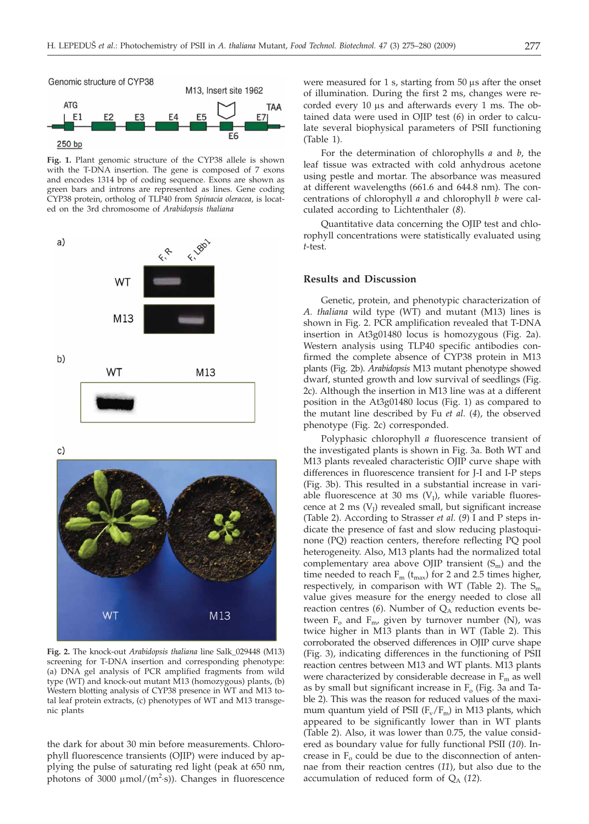

**Fig. 1.** Plant genomic structure of the CYP38 allele is shown with the T-DNA insertion. The gene is composed of 7 exons and encodes 1314 bp of coding sequence. Exons are shown as green bars and introns are represented as lines. Gene coding CYP38 protein, ortholog of TLP40 from *Spinacia oleracea*, is located on the 3rd chromosome of *Arabidopsis thaliana*



 $C)$ 



**Fig. 2.** The knock-out *Arabidopsis thaliana* line Salk\_029448 (M13) screening for T-DNA insertion and corresponding phenotype: (a) DNA gel analysis of PCR amplified fragments from wild type (WT) and knock-out mutant M13 (homozygous) plants, (b) Western blotting analysis of CYP38 presence in WT and M13 total leaf protein extracts, (c) phenotypes of WT and M13 transgenic plants

the dark for about 30 min before measurements. Chlorophyll fluorescence transients (OJIP) were induced by applying the pulse of saturating red light (peak at 650 nm, photons of 3000  $\mu$ mol/(m<sup>2</sup>·s)). Changes in fluorescence

were measured for  $1$  s, starting from  $50 \mu s$  after the onset of illumination. During the first 2 ms, changes were recorded every  $10 \mu s$  and afterwards every  $1 \text{ ms}$ . The obtained data were used in OJIP test (*6*) in order to calculate several biophysical parameters of PSII functioning (Table 1).

For the determination of chlorophylls *a* and *b*, the leaf tissue was extracted with cold anhydrous acetone using pestle and mortar. The absorbance was measured at different wavelengths (661.6 and 644.8 nm). The concentrations of chlorophyll *a* and chlorophyll *b* were calculated according to Lichtenthaler (*8*).

Quantitative data concerning the OJIP test and chlorophyll concentrations were statistically evaluated using *t*-test.

### **Results and Discussion**

Genetic, protein, and phenotypic characterization of *A. thaliana* wild type (WT) and mutant (M13) lines is shown in Fig. 2. PCR amplification revealed that T-DNA insertion in At3g01480 locus is homozygous (Fig. 2a). Western analysis using TLP40 specific antibodies confirmed the complete absence of CYP38 protein in M13 plants (Fig. 2b). *Arabidopsis* M13 mutant phenotype showed dwarf, stunted growth and low survival of seedlings (Fig. 2c). Although the insertion in M13 line was at a different position in the At3g01480 locus (Fig. 1) as compared to the mutant line described by Fu *et al.* (*4*), the observed phenotype (Fig. 2c) corresponded.

Polyphasic chlorophyll *a* fluorescence transient of the investigated plants is shown in Fig. 3a. Both WT and M13 plants revealed characteristic OJIP curve shape with differences in fluorescence transient for J-I and I-P steps (Fig. 3b). This resulted in a substantial increase in variable fluorescence at 30 ms  $(V<sub>I</sub>)$ , while variable fluorescence at 2 ms  $(V<sub>I</sub>)$  revealed small, but significant increase (Table 2). According to Strasser *et al.* (*9*) I and P steps indicate the presence of fast and slow reducing plastoquinone (PQ) reaction centers, therefore reflecting PQ pool heterogeneity. Also, M13 plants had the normalized total complementary area above OJIP transient  $(S_m)$  and the time needed to reach  $F_m$  ( $t_{max}$ ) for 2 and 2.5 times higher, respectively, in comparison with WT (Table 2). The  $S_m$ value gives measure for the energy needed to close all reaction centres (6). Number of  $Q_A$  reduction events between  $F_0$  and  $F_{m}$ , given by turnover number (N), was twice higher in M13 plants than in WT (Table 2). This corroborated the observed differences in OJIP curve shape (Fig. 3), indicating differences in the functioning of PSII reaction centres between M13 and WT plants. M13 plants were characterized by considerable decrease in  $F_m$  as well as by small but significant increase in  $F<sub>o</sub>$  (Fig. 3a and Table 2). This was the reason for reduced values of the maximum quantum yield of PSII  $(F_v/F_m)$  in M13 plants, which appeared to be significantly lower than in WT plants (Table 2). Also, it was lower than 0.75, the value considered as boundary value for fully functional PSII (*10*). Increase in  $F_0$  could be due to the disconnection of antennae from their reaction centres (*11*), but also due to the accumulation of reduced form of  $Q_A$  (12).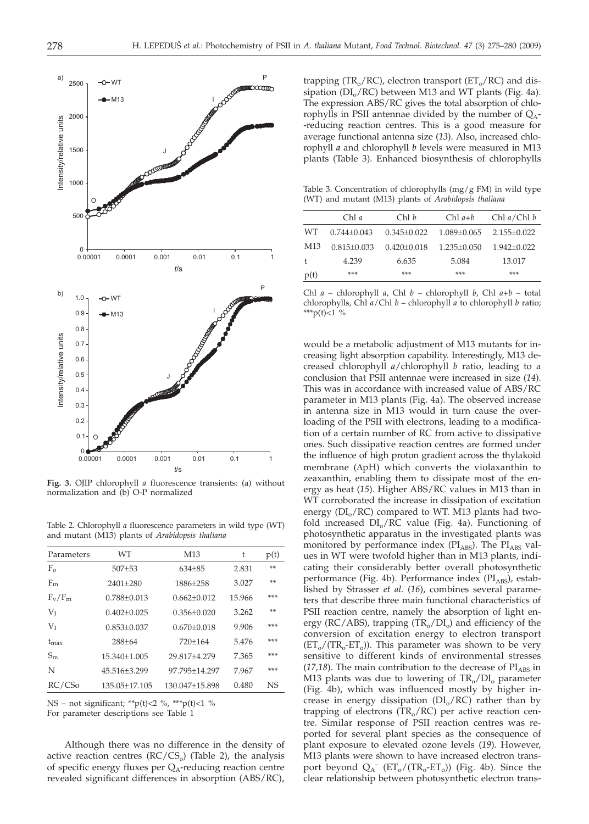

**Fig. 3.** OJIP chlorophyll *a* fluorescence transients: (a) without normalization and (b) O-P normalized

Table 2. Chlorophyll *a* fluorescence parameters in wild type (WT) and mutant (M13) plants of *Arabidopsis thaliana*

| Parameters         | WТ                | M <sub>13</sub> | t      | p(t) |
|--------------------|-------------------|-----------------|--------|------|
| $F_{\alpha}$       | $507 + 53$        | $634 + 85$      | 2.831  | **   |
| $F_m$              | $2401 + 280$      | 1886+258        | 3.027  | **   |
| $F_v/F_m$          | $0.788 + 0.013$   | $0.662 + 0.012$ | 15.966 | ***  |
| $V_I$              | $0.402 + 0.025$   | $0.356 + 0.020$ | 3.262  | **   |
| $V_I$              | $0.853 + 0.037$   | $0.670 + 0.018$ | 9.906  | ***  |
| $t_{\text{max}}$   | $288 + 64$        | $720+164$       | 5.476  | ***  |
| $S_{\rm m}$        | $15.340 + 1.005$  | 29.817±4.279    | 7.365  | ***  |
| N                  | 45.516+3.299      | 97.795+14.297   | 7.967  | ***  |
| RC/CS <sub>o</sub> | $135.05 + 17.105$ | 130.047±15.898  | 0.480  | NS   |

NS – not significant; \*\*p(t)<2 %, \*\*\*p(t)<1 %

For parameter descriptions see Table 1

Although there was no difference in the density of active reaction centres ( $RC/CS<sub>o</sub>$ ) (Table 2), the analysis of specific energy fluxes per  $Q_A$ -reducing reaction centre revealed significant differences in absorption (ABS/RC),

trapping (TR<sub>o</sub>/RC), electron transport ( $ET_0/RC$ ) and dissipation ( $DI_0/RC$ ) between M13 and WT plants (Fig. 4a). The expression ABS/RC gives the total absorption of chlorophylls in PSII antennae divided by the number of  $Q_A$ --reducing reaction centres. This is a good measure for average functional antenna size (*13*). Also, increased chlorophyll *a* and chlorophyll *b* levels were measured in M13 plants (Table 3). Enhanced biosynthesis of chlorophylls

Table 3. Concentration of chlorophylls (mg/g FM) in wild type (WT) and mutant (M13) plants of *Arabidopsis thaliana*

| Chl a             | Chl b             | $Chl a+b$         | Chl a/Chl b       |
|-------------------|-------------------|-------------------|-------------------|
| $0.744 + 0.043$   | $0.345 + 0.022$   | $1.089 + 0.065$   | $2.155 \pm 0.022$ |
| $0.815 \pm 0.033$ | $0.420 \pm 0.018$ | $1.235 \pm 0.050$ | $1.942 \pm 0.022$ |
| 4.239             | 6.635             | 5.084             | 13.017            |
| ***               | ***               | ***               | ***               |
|                   |                   |                   |                   |

Chl *a* – chlorophyll *a*, Chl *b* – chlorophyll *b*, Chl *a+b* – total chlorophylls, Chl *a*/Chl *b* – chlorophyll *a* to chlorophyll *b* ratio; \*\*\*p(t)<1 %

would be a metabolic adjustment of M13 mutants for increasing light absorption capability. Interestingly, M13 decreased chlorophyll *a*/chlorophyll *b* ratio, leading to a conclusion that PSII antennae were increased in size (*14*). This was in accordance with increased value of ABS/RC parameter in M13 plants (Fig. 4a). The observed increase in antenna size in M13 would in turn cause the overloading of the PSII with electrons, leading to a modification of a certain number of RC from active to dissipative ones. Such dissipative reaction centres are formed under the influence of high proton gradient across the thylakoid membrane (ΔpH) which converts the violaxanthin to zeaxanthin, enabling them to dissipate most of the energy as heat (*15*). Higher ABS/RC values in M13 than in WT corroborated the increase in dissipation of excitation energy  $(DI_0/RC)$  compared to WT. M13 plants had twofold increased  $DI_0/RC$  value (Fig. 4a). Functioning of photosynthetic apparatus in the investigated plants was monitored by performance index ( $PI<sub>ABS</sub>$ ). The  $PI<sub>ARS</sub>$  values in WT were twofold higher than in M13 plants, indicating their considerably better overall photosynthetic performance (Fig. 4b). Performance index (PI<sub>ABS</sub>), established by Strasser *et al.* (*16*), combines several parameters that describe three main functional characteristics of PSII reaction centre, namely the absorption of light energy ( $RC/ABS$ ), trapping ( $TR<sub>o</sub>/DI<sub>o</sub>$ ) and efficiency of the conversion of excitation energy to electron transport  $(ET_0/(TR_0-ET_0))$ . This parameter was shown to be very sensitive to different kinds of environmental stresses  $(17,18)$ . The main contribution to the decrease of  $PI<sub>ARS</sub>$  in M13 plants was due to lowering of  $TR_0/DI_0$  parameter (Fig. 4b), which was influenced mostly by higher increase in energy dissipation  $(DI_0/RC)$  rather than by trapping of electrons ( $TR_0/RC$ ) per active reaction centre. Similar response of PSII reaction centres was reported for several plant species as the consequence of plant exposure to elevated ozone levels (*19*). However, M13 plants were shown to have increased electron transport beyond  $Q_A^-$  (ET<sub>o</sub>/(TR<sub>o</sub>-ET<sub>o</sub>)) (Fig. 4b). Since the clear relationship between photosynthetic electron trans-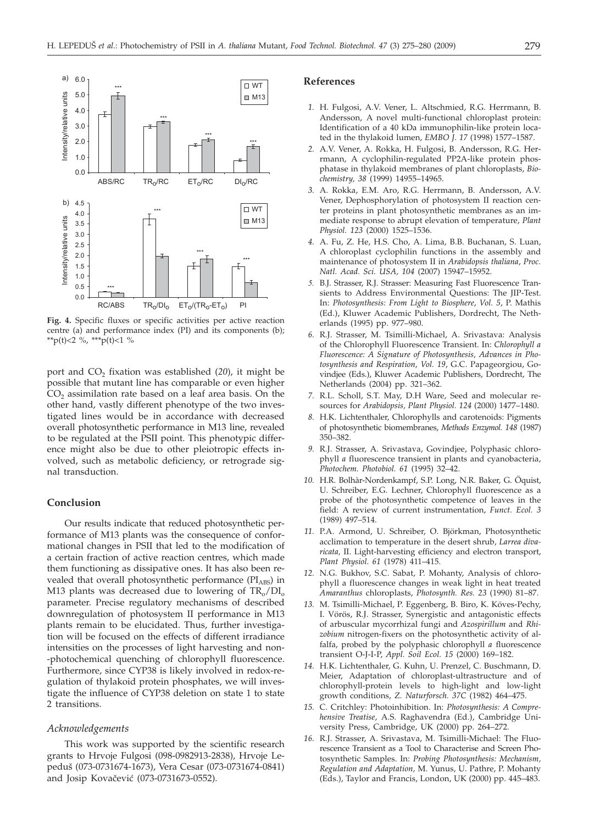

**Fig. 4.** Specific fluxes or specific activities per active reaction centre (a) and performance index (PI) and its components (b); \*\*p(t)<2 %, \*\*\*p(t)<1 %

port and CO<sub>2</sub> fixation was established (20), it might be possible that mutant line has comparable or even higher  $CO<sub>2</sub>$  assimilation rate based on a leaf area basis. On the other hand, vastly different phenotype of the two investigated lines would be in accordance with decreased overall photosynthetic performance in M13 line, revealed to be regulated at the PSII point. This phenotypic difference might also be due to other pleiotropic effects involved, such as metabolic deficiency, or retrograde signal transduction.

# **Conclusion**

Our results indicate that reduced photosynthetic performance of M13 plants was the consequence of conformational changes in PSII that led to the modification of a certain fraction of active reaction centres, which made them functioning as dissipative ones. It has also been revealed that overall photosynthetic performance (PIABS) in M13 plants was decreased due to lowering of  $TR_0/DI_0$ parameter. Precise regulatory mechanisms of described downregulation of photosystem II performance in M13 plants remain to be elucidated. Thus, further investigation will be focused on the effects of different irradiance intensities on the processes of light harvesting and non- -photochemical quenching of chlorophyll fluorescence. Furthermore, since CYP38 is likely involved in redox-regulation of thylakoid protein phosphates, we will investigate the influence of CYP38 deletion on state 1 to state 2 transitions.

### *Acknowledgements*

This work was supported by the scientific research grants to Hrvoje Fulgosi (098-0982913-2838), Hrvoje Lepedu{ (073-0731674-1673), Vera Cesar (073-0731674-0841) and Josip Kovačević (073-0731673-0552).

#### **References**

- *1.* H. Fulgosi, A.V. Vener, L. Altschmied, R.G. Herrmann, B. Andersson, A novel multi-functional chloroplast protein: Identification of a 40 kDa immunophilin-like protein located in the thylakoid lumen, *EMBO J. 17* (1998) 1577–1587.
- *2.* A.V. Vener, A. Rokka, H. Fulgosi, B. Andersson, R.G. Herrmann, A cyclophilin-regulated PP2A-like protein phosphatase in thylakoid membranes of plant chloroplasts, *Biochemistry, 38* (1999) 14955–14965.
- *3.* A. Rokka, E.M. Aro, R.G. Herrmann, B. Andersson, A.V. Vener, Dephosphorylation of photosystem II reaction center proteins in plant photosynthetic membranes as an immediate response to abrupt elevation of temperature, *Plant Physiol. 123* (2000) 1525–1536.
- *4.* A. Fu, Z. He, H.S. Cho, A. Lima, B.B. Buchanan, S. Luan, A chloroplast cyclophilin functions in the assembly and maintenance of photosystem II in *Arabidopsis thaliana*, *Proc. Natl. Acad. Sci. USA, 104* (2007) 15947–15952.
- *5.* B.J. Strasser, R.J. Strasser: Measuring Fast Fluorescence Transients to Address Environmental Questions: The JIP-Test. In: *Photosynthesis: From Light to Biosphere*, *Vol. 5*, P. Mathis (Ed.), Kluwer Academic Publishers, Dordrecht, The Netherlands (1995) pp. 977–980.
- *6.* R.J. Strasser, M. Tsimilli-Michael, A. Srivastava: Analysis of the Chlorophyll Fluorescence Transient. In: *Chlorophyll a Fluorescence: A Signature of Photosynthesis, Advances in Photosynthesis and Respiration, Vol. 19*, G.C. Papageorgiou, Govindjee (Eds.), Kluwer Academic Publishers, Dordrecht, The Netherlands (2004) pp. 321–362.
- *7.* R.L. Scholl, S.T. May, D.H Ware, Seed and molecular resources for *Arabidopsis, Plant Physiol. 124* (2000) 1477–1480.
- *8.* H.K. Lichtenthaler, Chlorophylls and carotenoids: Pigments of photosynthetic biomembranes, *Methods Enzymol. 148* (1987) 350–382.
- *9.* R.J. Strasser, A. Srivastava, Govindjee, Polyphasic chlorophyll *a* fluorescence transient in plants and cyanobacteria, *Photochem. Photobiol. 61* (1995) 32–42.
- *10.* H.R. Bolhàr-Nordenkampf, S.P. Long, N.R. Baker, G. Öquist, U. Schreiber, E.G. Lechner, Chlorophyll fluorescence as a probe of the photosynthetic competence of leaves in the field: A review of current instrumentation, *Funct. Ecol. 3* (1989) 497–514.
- *11.* P.A. Armond, U. Schreiber, O. Björkman, Photosynthetic acclimation to temperature in the desert shrub, *Larrea divaricata,* II. Light-harvesting efficiency and electron transport, *Plant Physiol. 61* (1978) 411–415.
- *12.* N.G. Bukhov, S.C. Sabat, P. Mohanty, Analysis of chlorophyll a fluorescence changes in weak light in heat treated *Amaranthus* chloroplasts, *Photosynth. Res. 23* (1990) 81–87.
- *13.* M. Tsimilli-Michael, P. Eggenberg, B. Biro, K. Köves-Pechy, I. Vörös, R.J. Strasser, Synergistic and antagonistic effects of arbuscular mycorrhizal fungi and *Azospirillum* and *Rhizobium* nitrogen-fixers on the photosynthetic activity of alfalfa, probed by the polyphasic chlorophyll *a* fluorescence transient O-J-I-P, *Appl. Soil Ecol. 15* (2000) 169–182.
- *14.* H.K. Lichtenthaler, G. Kuhn, U. Prenzel, C. Buschmann, D. Meier, Adaptation of chloroplast-ultrastructure and of chlorophyll-protein levels to high-light and low-light growth conditions, *Z. Naturforsch. 37C* (1982) 464–475.
- *15.* C. Critchley: Photoinhibition. In: *Photosynthesis: A Comprehensive Treatise*, A.S. Raghavendra (Ed.), Cambridge University Press, Cambridge, UK (2000) pp. 264–272.
- *16.* R.J. Strasser, A. Srivastava, M. Tsimilli-Michael: The Fluorescence Transient as a Tool to Characterise and Screen Photosynthetic Samples. In: *Probing Photosynthesis: Mechanism, Regulation and Adaptation,* M. Yunus, U. Pathre, P. Mohanty (Eds.), Taylor and Francis, London, UK (2000) pp. 445–483.